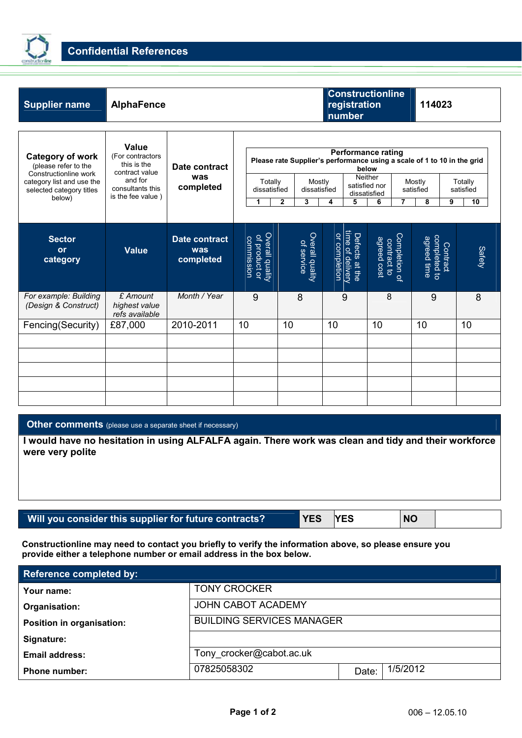

| <b>AlphaFence</b>                                                                                              |                                   |                                                         |                               |                                                     |                                             |                                                                                                                                            |                                                                                                                             |
|----------------------------------------------------------------------------------------------------------------|-----------------------------------|---------------------------------------------------------|-------------------------------|-----------------------------------------------------|---------------------------------------------|--------------------------------------------------------------------------------------------------------------------------------------------|-----------------------------------------------------------------------------------------------------------------------------|
| Value<br>(For contractors<br>this is the<br>contract value<br>and for<br>consultants this<br>is the fee value) | Date contract<br>was<br>completed | 1                                                       | $\mathbf{2}$<br>3             | 5<br>4                                              | 6<br>7                                      | 8                                                                                                                                          | Totally<br>satisfied<br>9<br>10                                                                                             |
| <b>Value</b>                                                                                                   | Date contract<br>was<br>completed | Overall quality<br>Overall quality<br><b>Commission</b> | Overall quality<br>of service | Defects at the<br>time of delivery<br>or completion | Completion of<br>agreed cost<br>contract to | completed to<br>agreed time                                                                                                                | Safety                                                                                                                      |
| £ Amount<br>highest value<br>refs available                                                                    | Month / Year                      | 9                                                       | 8                             | 9                                                   | 8                                           | 9                                                                                                                                          | 8                                                                                                                           |
| £87,000                                                                                                        | 2010-2011                         | 10                                                      | 10                            | 10                                                  | 10                                          | 10                                                                                                                                         | 10                                                                                                                          |
|                                                                                                                |                                   |                                                         |                               |                                                     |                                             |                                                                                                                                            |                                                                                                                             |
|                                                                                                                |                                   |                                                         |                               |                                                     |                                             |                                                                                                                                            |                                                                                                                             |
|                                                                                                                |                                   |                                                         |                               |                                                     |                                             |                                                                                                                                            |                                                                                                                             |
|                                                                                                                |                                   |                                                         |                               | Totally<br>dissatisfied                             | Mostly<br>dissatisfied                      | <b>Constructionline</b><br>registration<br>number<br><b>Performance rating</b><br>below<br><b>Neither</b><br>satisfied nor<br>dissatisfied | 114023<br>Please rate Supplier's performance using a scale of 1 to 10 in the grid<br>Mostly<br>satisfied<br><b>Contract</b> |

## **Other comments** (please use a separate sheet if necessary)

**I would have no hesitation in using ALFALFA again. There work was clean and tidy and their workforce were very polite** 

## Will you consider this supplier for future contracts? YES YES NO

**Constructionline may need to contact you briefly to verify the information above, so please ensure you provide either a telephone number or email address in the box below.** 

| <b>Reference completed by:</b> |                                  |       |          |  |  |  |  |
|--------------------------------|----------------------------------|-------|----------|--|--|--|--|
| Your name:                     | <b>TONY CROCKER</b>              |       |          |  |  |  |  |
| Organisation:                  | <b>JOHN CABOT ACADEMY</b>        |       |          |  |  |  |  |
| Position in organisation:      | <b>BUILDING SERVICES MANAGER</b> |       |          |  |  |  |  |
| Signature:                     |                                  |       |          |  |  |  |  |
| <b>Email address:</b>          | Tony crocker@cabot.ac.uk         |       |          |  |  |  |  |
| <b>Phone number:</b>           | 07825058302                      | Date: | 1/5/2012 |  |  |  |  |